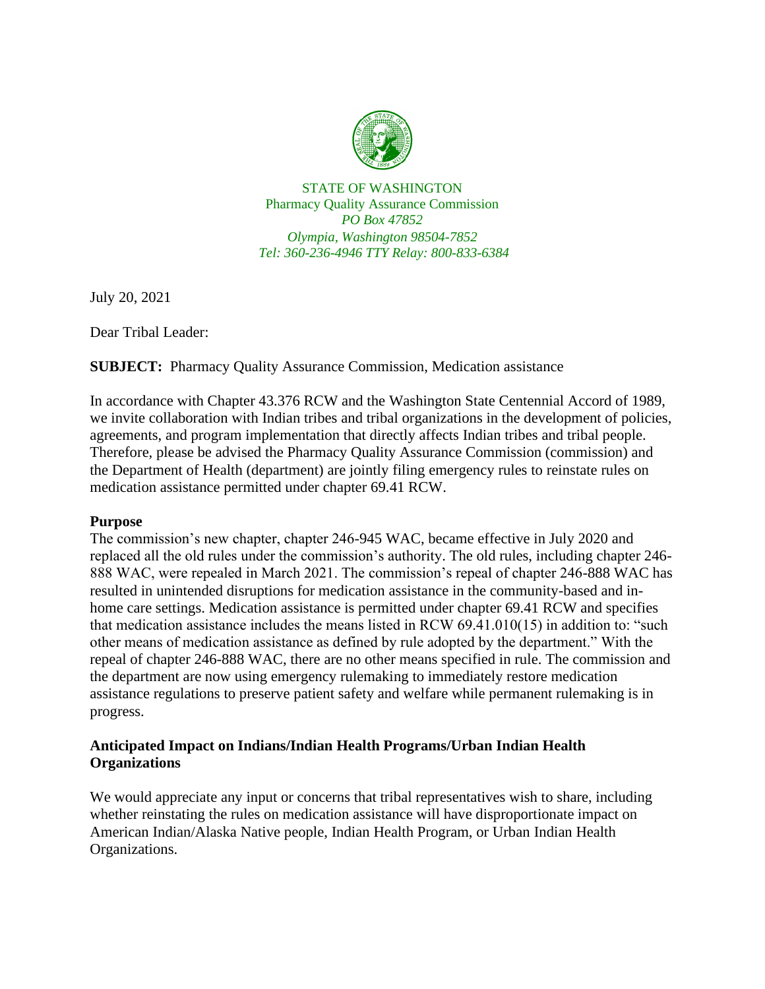

STATE OF WASHINGTON Pharmacy Quality Assurance Commission *PO Box 47852 Olympia, Washington 98504-7852 Tel: 360-236-4946 TTY Relay: 800-833-6384*

July 20, 2021

Dear Tribal Leader:

**SUBJECT:** Pharmacy Quality Assurance Commission, Medication assistance

In accordance with Chapter 43.376 RCW and the Washington State Centennial Accord of 1989, we invite collaboration with Indian tribes and tribal organizations in the development of policies, agreements, and program implementation that directly affects Indian tribes and tribal people. Therefore, please be advised the Pharmacy Quality Assurance Commission (commission) and the Department of Health (department) are jointly filing emergency rules to reinstate rules on medication assistance permitted under chapter 69.41 RCW.

## **Purpose**

The commission's new chapter, chapter 246-945 WAC, became effective in July 2020 and replaced all the old rules under the commission's authority. The old rules, including chapter 246- 888 WAC, were repealed in March 2021. The commission's repeal of chapter 246-888 WAC has resulted in unintended disruptions for medication assistance in the community-based and inhome care settings. Medication assistance is permitted under chapter 69.41 RCW and specifies that medication assistance includes the means listed in RCW 69.41.010(15) in addition to: "such other means of medication assistance as defined by rule adopted by the department." With the repeal of chapter 246-888 WAC, there are no other means specified in rule. The commission and the department are now using emergency rulemaking to immediately restore medication assistance regulations to preserve patient safety and welfare while permanent rulemaking is in progress.

## **Anticipated Impact on Indians/Indian Health Programs/Urban Indian Health Organizations**

We would appreciate any input or concerns that tribal representatives wish to share, including whether reinstating the rules on medication assistance will have disproportionate impact on American Indian/Alaska Native people, Indian Health Program, or Urban Indian Health Organizations.